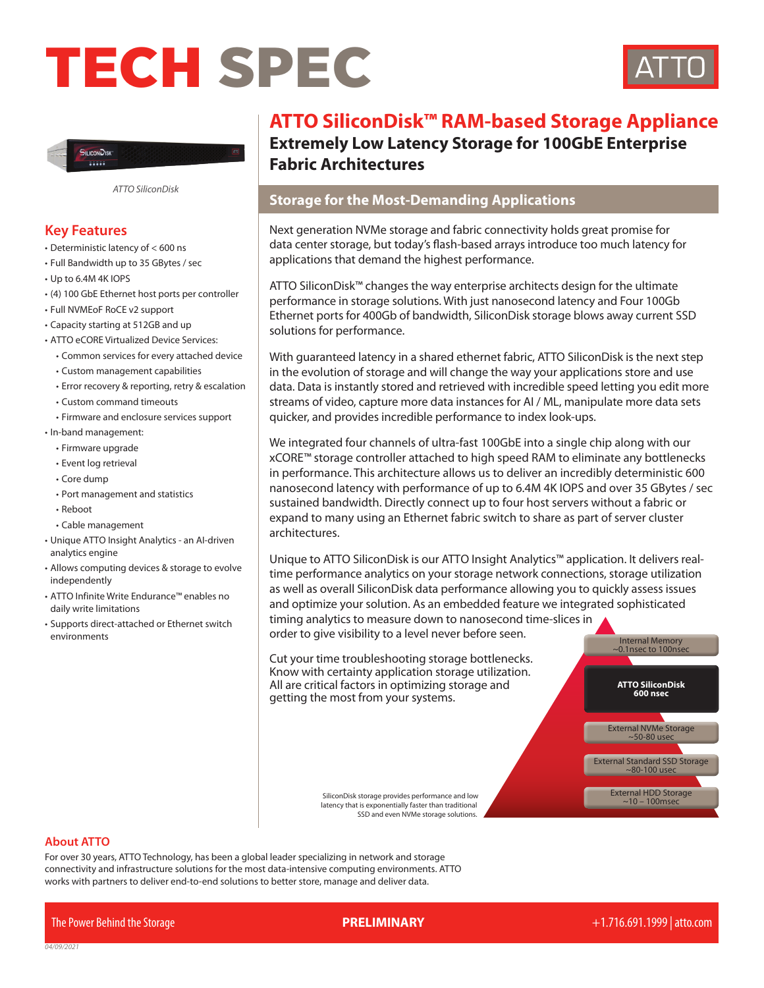# TECH SPEC





*ATTO SiliconDisk*

## **Key Features**

- Deterministic latency of < 600 ns
- Full Bandwidth up to 35 GBytes / sec
- Up to 6.4M 4K IOPS
- (4) 100 GbE Ethernet host ports per controller
- Full NVMEoF RoCE v2 support
- Capacity starting at 512GB and up
- ATTO eCORE Virtualized Device Services:
	- Common services for every attached device
	- Custom management capabilities
	- Error recovery & reporting, retry & escalation
	- Custom command timeouts
	- Firmware and enclosure services support
- In-band management:
	- Firmware upgrade
	- Event log retrieval
	- Core dump
	- Port management and statistics
	- Reboot
	- Cable management
- Unique ATTO Insight Analytics an AI-driven analytics engine
- Allows computing devices & storage to evolve independently
- ATTO Infinite Write Endurance™ enables no daily write limitations
- Supports direct-attached or Ethernet switch environments

# **ATTO SiliconDisk™ RAM-based Storage Appliance Extremely Low Latency Storage for 100GbE Enterprise Fabric Architectures**

# **Storage for the Most-Demanding Applications**

Next generation NVMe storage and fabric connectivity holds great promise for data center storage, but today's flash-based arrays introduce too much latency for applications that demand the highest performance.

ATTO SiliconDisk™ changes the way enterprise architects design for the ultimate performance in storage solutions. With just nanosecond latency and Four 100Gb Ethernet ports for 400Gb of bandwidth, SiliconDisk storage blows away current SSD solutions for performance.

With guaranteed latency in a shared ethernet fabric, ATTO SiliconDisk is the next step in the evolution of storage and will change the way your applications store and use data. Data is instantly stored and retrieved with incredible speed letting you edit more streams of video, capture more data instances for AI / ML, manipulate more data sets quicker, and provides incredible performance to index look-ups.

We integrated four channels of ultra-fast 100GbE into a single chip along with our xCORE™ storage controller attached to high speed RAM to eliminate any bottlenecks in performance. This architecture allows us to deliver an incredibly deterministic 600 nanosecond latency with performance of up to 6.4M 4K IOPS and over 35 GBytes / sec sustained bandwidth. Directly connect up to four host servers without a fabric or expand to many using an Ethernet fabric switch to share as part of server cluster architectures.

Unique to ATTO SiliconDisk is our ATTO Insight Analytics™ application. It delivers realtime performance analytics on your storage network connections, storage utilization as well as overall SiliconDisk data performance allowing you to quickly assess issues and optimize your solution. As an embedded feature we integrated sophisticated timing analytics to measure down to nanosecond time-slices in order to give visibility to a level never before seen. Internal Memory<br>-0.1nsec to 100nsec

Cut your time troubleshooting storage bottlenecks. Know with certainty application storage utilization. All are critical factors in optimizing storage and getting the most from your systems.

> SiliconDisk storage provides performance and low latency that is exponentially faster than traditional SSD and even NVMe storage solutions.

#### **About ATTO**

For over 30 years, ATTO Technology, has been a global leader specializing in network and storage connectivity and infrastructure solutions for the most data-intensive computing environments. ATTO works with partners to deliver end-to-end solutions to better store, manage and deliver data.

The Power Behind the Storage **PRELIMINARY** +1.716.691.1999 | atto.com

**ATTO SiliconDisk 600 nsec**

External HDD Storage  $-10 - 100$ msec

External Standard SSD Storage ~80-100 usec

External NVMe Storage ~50-80 usec

*0*4*/*09*/2021*